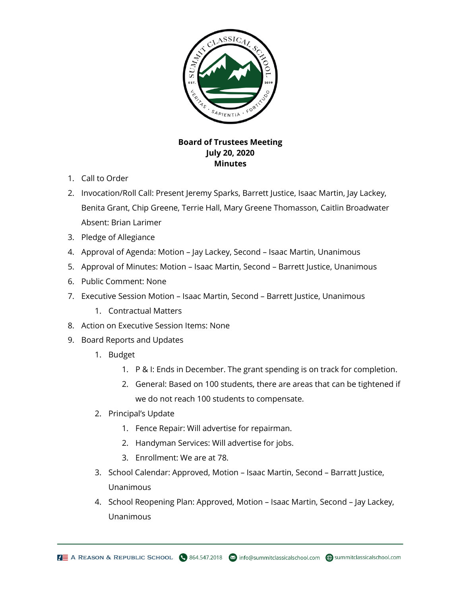

## **Board of Trustees Meeting July 20, 2020 Minutes**

- 1. Call to Order
- 2. Invocation/Roll Call: Present Jeremy Sparks, Barrett Justice, Isaac Martin, Jay Lackey, Benita Grant, Chip Greene, Terrie Hall, Mary Greene Thomasson, Caitlin Broadwater Absent: Brian Larimer
- 3. Pledge of Allegiance
- 4. Approval of Agenda: Motion Jay Lackey, Second Isaac Martin, Unanimous
- 5. Approval of Minutes: Motion Isaac Martin, Second Barrett Justice, Unanimous
- 6. Public Comment: None
- 7. Executive Session Motion Isaac Martin, Second Barrett Justice, Unanimous
	- 1. Contractual Matters
- 8. Action on Executive Session Items: None
- 9. Board Reports and Updates
	- 1. Budget
		- 1. P & I: Ends in December. The grant spending is on track for completion.
		- 2. General: Based on 100 students, there are areas that can be tightened if we do not reach 100 students to compensate.
	- 2. Principal's Update
		- 1. Fence Repair: Will advertise for repairman.
		- 2. Handyman Services: Will advertise for jobs.
		- 3. Enrollment: We are at 78.
	- 3. School Calendar: Approved, Motion Isaac Martin, Second Barratt Justice, Unanimous
	- 4. School Reopening Plan: Approved, Motion Isaac Martin, Second Jay Lackey, Unanimous